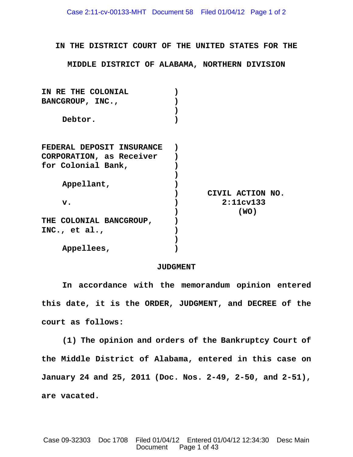**IN THE DISTRICT COURT OF THE UNITED STATES FOR THE**

**MIDDLE DISTRICT OF ALABAMA, NORTHERN DIVISION**

| IN RE THE COLONIAL        |                  |
|---------------------------|------------------|
| BANCGROUP, INC.,          |                  |
|                           |                  |
| Debtor.                   |                  |
|                           |                  |
| FEDERAL DEPOSIT INSURANCE |                  |
| CORPORATION, as Receiver  |                  |
| for Colonial Bank,        |                  |
|                           |                  |
| Appellant,                |                  |
|                           | CIVIL ACTION NO. |
| $\mathbf v$ .             | 2:11cv133        |
|                           | (WO)             |
| THE COLONIAL BANCGROUP,   |                  |
| INC., et al.,             |                  |
|                           |                  |
| Appellees,                |                  |

## **JUDGMENT**

**In accordance with the memorandum opinion entered this date, it is the ORDER, JUDGMENT, and DECREE of the court as follows:**

**(1) The opinion and orders of the Bankruptcy Court of the Middle District of Alabama, entered in this case on January 24 and 25, 2011 (Doc. Nos. 2-49, 2-50, and 2-51), are vacated.**

Case 09-32303 Doc 1708 Filed 01/04/12 Entered 01/04/12 12:34:30 Desc Main Document Page 1 of 43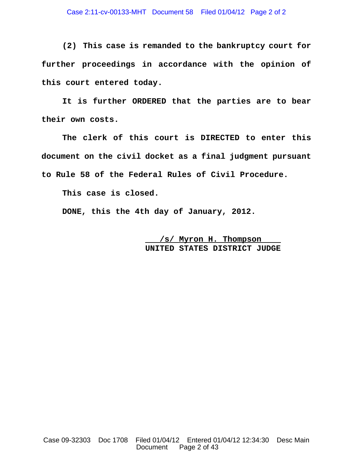**(2) This case is remanded to the bankruptcy court for further proceedings in accordance with the opinion of this court entered today.**

**It is further ORDERED that the parties are to bear their own costs.**

**The clerk of this court is DIRECTED to enter this document on the civil docket as a final judgment pursuant to Rule 58 of the Federal Rules of Civil Procedure.**

**This case is closed.**

**DONE, this the 4th day of January, 2012.**

 **/s/ Myron H. Thompson UNITED STATES DISTRICT JUDGE**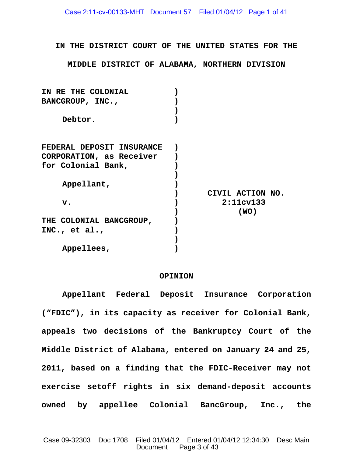**IN THE DISTRICT COURT OF THE UNITED STATES FOR THE**

**MIDDLE DISTRICT OF ALABAMA, NORTHERN DIVISION**

| IN RE THE COLONIAL        |                  |
|---------------------------|------------------|
| BANCGROUP, INC.,          |                  |
|                           |                  |
| Debtor.                   |                  |
|                           |                  |
| FEDERAL DEPOSIT INSURANCE |                  |
| CORPORATION, as Receiver  |                  |
| for Colonial Bank,        |                  |
|                           |                  |
| Appellant,                |                  |
|                           | CIVIL ACTION NO. |
| $\mathbf{v}$ .            | 2:11cv133        |
|                           | (WO)             |
| THE COLONIAL BANCGROUP,   |                  |
| INC., et al.,             |                  |
|                           |                  |
| Appellees,                |                  |

# **OPINION**

**Appellant Federal Deposit Insurance Corporation ("FDIC"), in its capacity as receiver for Colonial Bank, appeals two decisions of the Bankruptcy Court of the Middle District of Alabama, entered on January 24 and 25, 2011, based on a finding that the FDIC-Receiver may not exercise setoff rights in six demand-deposit accounts owned by appellee Colonial BancGroup, Inc., the**

Case 09-32303 Doc 1708 Filed 01/04/12 Entered 01/04/12 12:34:30 Desc Main Document Page 3 of 43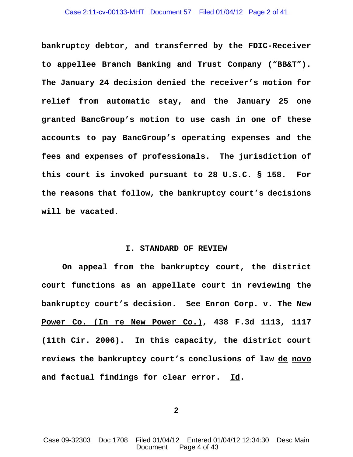### Case 2:11-cv-00133-MHT Document 57 Filed 01/04/12 Page 2 of 41

**bankruptcy debtor, and transferred by the FDIC-Receiver to appellee Branch Banking and Trust Company ("BB&T"). The January 24 decision denied the receiver's motion for relief from automatic stay, and the January 25 one granted BancGroup's motion to use cash in one of these accounts to pay BancGroup's operating expenses and the fees and expenses of professionals. The jurisdiction of this court is invoked pursuant to 28 U.S.C. § 158. For the reasons that follow, the bankruptcy court's decisions will be vacated.**

# **I. STANDARD OF REVIEW**

**On appeal from the bankruptcy court, the district court functions as an appellate court in reviewing the bankruptcy court's decision. See Enron Corp. v. The New Power Co. (In re New Power Co.), 438 F.3d 1113, 1117 (11th Cir. 2006). In this capacity, the district court reviews the bankruptcy court's conclusions of law de novo and factual findings for clear error. Id.** 

**2**

Case 09-32303 Doc 1708 Filed 01/04/12 Entered 01/04/12 12:34:30 Desc Main Document Page 4 of 43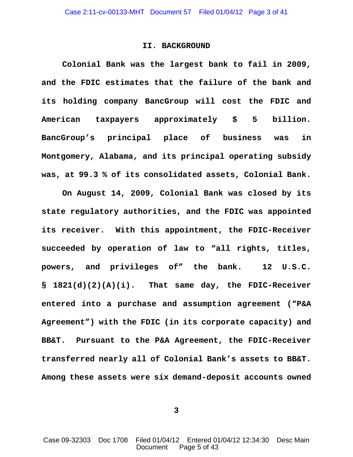## **II. BACKGROUND**

**Colonial Bank was the largest bank to fail in 2009, and the FDIC estimates that the failure of the bank and its holding company BancGroup will cost the FDIC and American taxpayers approximately \$ 5 billion. BancGroup's principal place of business was in Montgomery, Alabama, and its principal operating subsidy was, at 99.3 % of its consolidated assets, Colonial Bank.**

**On August 14, 2009, Colonial Bank was closed by its state regulatory authorities, and the FDIC was appointed its receiver. With this appointment, the FDIC-Receiver succeeded by operation of law to "all rights, titles, powers, and privileges of" the bank. 12 U.S.C. § 1821(d)(2)(A)(i). That same day, the FDIC-Receiver entered into a purchase and assumption agreement ("P&A Agreement") with the FDIC (in its corporate capacity) and BB&T. Pursuant to the P&A Agreement, the FDIC-Receiver transferred nearly all of Colonial Bank's assets to BB&T. Among these assets were six demand-deposit accounts owned**

**3**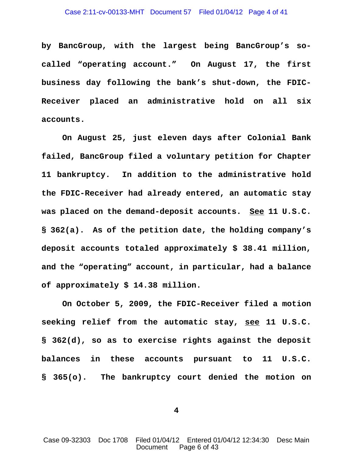**by BancGroup, with the largest being BancGroup's socalled "operating account." On August 17, the first business day following the bank's shut-down, the FDIC-Receiver placed an administrative hold on all six accounts.**

**On August 25, just eleven days after Colonial Bank failed, BancGroup filed a voluntary petition for Chapter 11 bankruptcy. In addition to the administrative hold the FDIC-Receiver had already entered, an automatic stay was placed on the demand-deposit accounts. See 11 U.S.C. § 362(a). As of the petition date, the holding company's deposit accounts totaled approximately \$ 38.41 million, and the "operating" account, in particular, had a balance of approximately \$ 14.38 million.** 

**On October 5, 2009, the FDIC-Receiver filed a motion seeking relief from the automatic stay, see 11 U.S.C. § 362(d), so as to exercise rights against the deposit balances in these accounts pursuant to 11 U.S.C. § 365(o). The bankruptcy court denied the motion on**

**4**

Case 09-32303 Doc 1708 Filed 01/04/12 Entered 01/04/12 12:34:30 Desc Main Document Page 6 of 43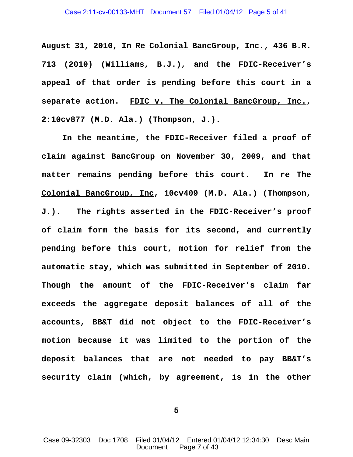**August 31, 2010, In Re Colonial BancGroup, Inc., 436 B.R. 713 (2010) (Williams, B.J.), and the FDIC-Receiver's appeal of that order is pending before this court in a separate action. FDIC v. The Colonial BancGroup, Inc., 2:10cv877 (M.D. Ala.) (Thompson, J.).** 

**In the meantime, the FDIC-Receiver filed a proof of claim against BancGroup on November 30, 2009, and that matter remains pending before this court. In re The Colonial BancGroup, Inc, 10cv409 (M.D. Ala.) (Thompson, J.). The rights asserted in the FDIC-Receiver's proof of claim form the basis for its second, and currently pending before this court, motion for relief from the automatic stay, which was submitted in September of 2010. Though the amount of the FDIC-Receiver's claim far exceeds the aggregate deposit balances of all of the accounts, BB&T did not object to the FDIC-Receiver's motion because it was limited to the portion of the deposit balances that are not needed to pay BB&T's security claim (which, by agreement, is in the other**

**5**

Case 09-32303 Doc 1708 Filed 01/04/12 Entered 01/04/12 12:34:30 Desc Main Document Page 7 of 43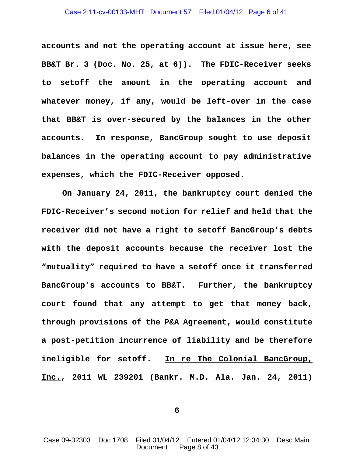**accounts and not the operating account at issue here, see BB&T Br. 3 (Doc. No. 25, at 6)). The FDIC-Receiver seeks to setoff the amount in the operating account and whatever money, if any, would be left-over in the case that BB&T is over-secured by the balances in the other accounts. In response, BancGroup sought to use deposit balances in the operating account to pay administrative expenses, which the FDIC-Receiver opposed.** 

**On January 24, 2011, the bankruptcy court denied the FDIC-Receiver's second motion for relief and held that the receiver did not have a right to setoff BancGroup's debts with the deposit accounts because the receiver lost the "mutuality" required to have a setoff once it transferred BancGroup's accounts to BB&T. Further, the bankruptcy court found that any attempt to get that money back, through provisions of the P&A Agreement, would constitute a post-petition incurrence of liability and be therefore ineligible for setoff. In re The Colonial BancGroup, Inc., 2011 WL 239201 (Bankr. M.D. Ala. Jan. 24, 2011)**

**6**

Case 09-32303 Doc 1708 Filed 01/04/12 Entered 01/04/12 12:34:30 Desc Main Document Page 8 of 43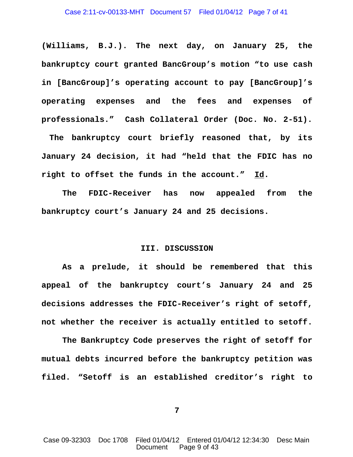**(Williams, B.J.). The next day, on January 25, the bankruptcy court granted BancGroup's motion "to use cash in [BancGroup]'s operating account to pay [BancGroup]'s operating expenses and the fees and expenses of professionals." Cash Collateral Order (Doc. No. 2-51).**

 **The bankruptcy court briefly reasoned that, by its January 24 decision, it had "held that the FDIC has no right to offset the funds in the account." Id.**

**The FDIC-Receiver has now appealed from the bankruptcy court's January 24 and 25 decisions.** 

### **III. DISCUSSION**

**As a prelude, it should be remembered that this appeal of the bankruptcy court's January 24 and 25 decisions addresses the FDIC-Receiver's right of setoff, not whether the receiver is actually entitled to setoff.**

**The Bankruptcy Code preserves the right of setoff for mutual debts incurred before the bankruptcy petition was filed. "Setoff is an established creditor's right to**

**7**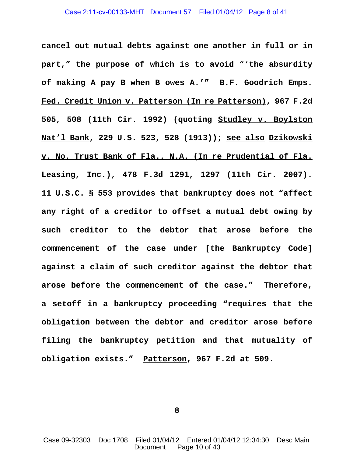### Case 2:11-cv-00133-MHT Document 57 Filed 01/04/12 Page 8 of 41

**cancel out mutual debts against one another in full or in part," the purpose of which is to avoid "'the absurdity of making A pay B when B owes A.'" B.F. Goodrich Emps. Fed. Credit Union v. Patterson (In re Patterson), 967 F.2d 505, 508 (11th Cir. 1992) (quoting Studley v. Boylston Nat'l Bank, 229 U.S. 523, 528 (1913)); see also Dzikowski v. No. Trust Bank of Fla., N.A. (In re Prudential of Fla. Leasing, Inc.), 478 F.3d 1291, 1297 (11th Cir. 2007). 11 U.S.C. § 553 provides that bankruptcy does not "affect any right of a creditor to offset a mutual debt owing by such creditor to the debtor that arose before the commencement of the case under [the Bankruptcy Code] against a claim of such creditor against the debtor that arose before the commencement of the case." Therefore, a setoff in a bankruptcy proceeding "requires that the obligation between the debtor and creditor arose before filing the bankruptcy petition and that mutuality of obligation exists." Patterson, 967 F.2d at 509.** 

**8**

Case 09-32303 Doc 1708 Filed 01/04/12 Entered 01/04/12 12:34:30 Desc Main Document Page 10 of 43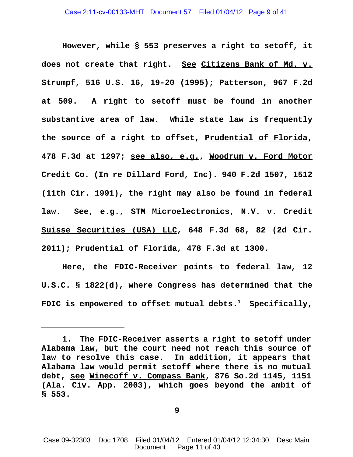**However, while § 553 preserves a right to setoff, it does not create that right. See Citizens Bank of Md. v. Strumpf, 516 U.S. 16, 19-20 (1995); Patterson, 967 F.2d at 509. A right to setoff must be found in another substantive area of law. While state law is frequently the source of a right to offset, Prudential of Florida, 478 F.3d at 1297; see also, e.g., Woodrum v. Ford Motor Credit Co. (In re Dillard Ford, Inc). 940 F.2d 1507, 1512 (11th Cir. 1991), the right may also be found in federal law. See, e.g., STM Microelectronics, N.V. v. Credit Suisse Securities (USA) LLC, 648 F.3d 68, 82 (2d Cir. 2011); Prudential of Florida, 478 F.3d at 1300.**

**Here, the FDIC-Receiver points to federal law, 12 U.S.C. § 1822(d), where Congress has determined that the FDIC is empowered to offset mutual debts.1 Specifically,**

**9**

**<sup>1.</sup> The FDIC-Receiver asserts a right to setoff under Alabama law, but the court need not reach this source of law to resolve this case. In addition, it appears that Alabama law would permit setoff where there is no mutual debt, see Winecoff v. Compass Bank, 876 So.2d 1145, 1151 (Ala. Civ. App. 2003), which goes beyond the ambit of § 553.**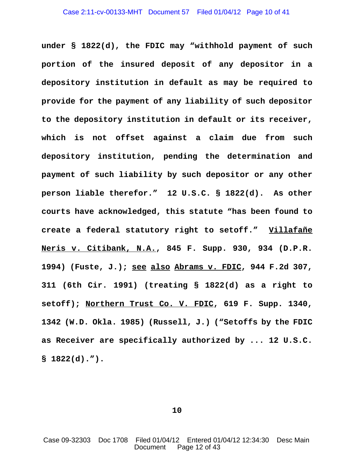**under § 1822(d), the FDIC may "withhold payment of such portion of the insured deposit of any depositor in a depository institution in default as may be required to provide for the payment of any liability of such depositor to the depository institution in default or its receiver, which is not offset against a claim due from such depository institution, pending the determination and payment of such liability by such depositor or any other person liable therefor." 12 U.S.C. § 1822(d). As other courts have acknowledged, this statute "has been found to create a federal statutory right to setoff." Villafañe Neris v. Citibank, N.A., 845 F. Supp. 930, 934 (D.P.R. 1994) (Fuste, J.); see also Abrams v. FDIC, 944 F.2d 307, 311 (6th Cir. 1991) (treating § 1822(d) as a right to setoff); Northern Trust Co. V. FDIC, 619 F. Supp. 1340, 1342 (W.D. Okla. 1985) (Russell, J.) ("Setoffs by the FDIC as Receiver are specifically authorized by ... 12 U.S.C. § 1822(d).").**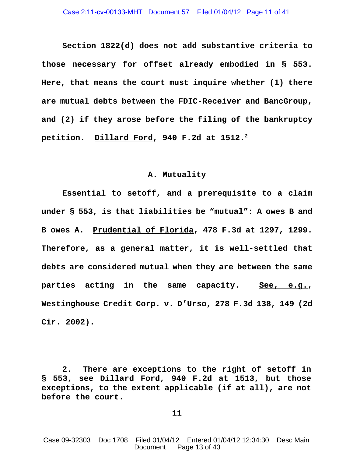**Section 1822(d) does not add substantive criteria to those necessary for offset already embodied in § 553. Here, that means the court must inquire whether (1) there are mutual debts between the FDIC-Receiver and BancGroup, and (2) if they arose before the filing of the bankruptcy** petition. Dillard Ford, 940 F.2d at 1512.<sup>2</sup>

# **A. Mutuality**

**Essential to setoff, and a prerequisite to a claim under § 553, is that liabilities be "mutual": A owes B and B owes A. Prudential of Florida, 478 F.3d at 1297, 1299. Therefore, as a general matter, it is well-settled that debts are considered mutual when they are between the same parties acting in the same capacity. See, e.g., Westinghouse Credit Corp. v. D'Urso, 278 F.3d 138, 149 (2d Cir. 2002).** 

**<sup>2.</sup> There are exceptions to the right of setoff in § 553, see Dillard Ford, 940 F.2d at 1513, but those exceptions, to the extent applicable (if at all), are not before the court.**

Case 09-32303 Doc 1708 Filed 01/04/12 Entered 01/04/12 12:34:30 Desc Main Document Page 13 of 43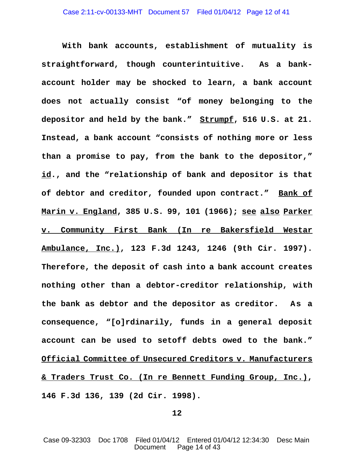**With bank accounts, establishment of mutuality is straightforward, though counterintuitive. As a bankaccount holder may be shocked to learn, a bank account does not actually consist "of money belonging to the depositor and held by the bank." Strumpf, 516 U.S. at 21. Instead, a bank account "consists of nothing more or less than a promise to pay, from the bank to the depositor," id., and the "relationship of bank and depositor is that of debtor and creditor, founded upon contract." Bank of Marin v. England, 385 U.S. 99, 101 (1966); see also Parker v. Community First Bank (In re Bakersfield Westar Ambulance, Inc.), 123 F.3d 1243, 1246 (9th Cir. 1997). Therefore, the deposit of cash into a bank account creates nothing other than a debtor-creditor relationship, with the bank as debtor and the depositor as creditor. As a consequence, "[o]rdinarily, funds in a general deposit account can be used to setoff debts owed to the bank." Official Committee of Unsecured Creditors v. Manufacturers & Traders Trust Co. (In re Bennett Funding Group, Inc.), 146 F.3d 136, 139 (2d Cir. 1998).**

**12**

Case 09-32303 Doc 1708 Filed 01/04/12 Entered 01/04/12 12:34:30 Desc Main Document Page 14 of 43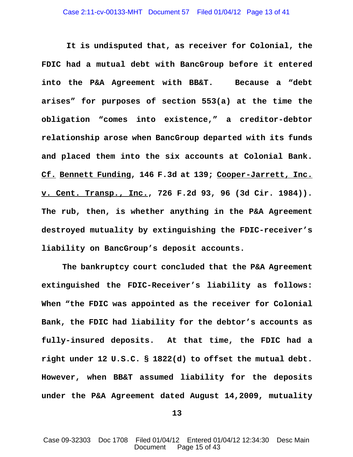**It is undisputed that, as receiver for Colonial, the FDIC had a mutual debt with BancGroup before it entered into the P&A Agreement with BB&T. Because a "debt arises" for purposes of section 553(a) at the time the obligation "comes into existence," a creditor-debtor relationship arose when BancGroup departed with its funds and placed them into the six accounts at Colonial Bank. Cf. Bennett Funding, 146 F.3d at 139; Cooper-Jarrett, Inc. v. Cent. Transp., Inc., 726 F.2d 93, 96 (3d Cir. 1984)). The rub, then, is whether anything in the P&A Agreement destroyed mutuality by extinguishing the FDIC-receiver's liability on BancGroup's deposit accounts.**

**The bankruptcy court concluded that the P&A Agreement extinguished the FDIC-Receiver's liability as follows: When "the FDIC was appointed as the receiver for Colonial Bank, the FDIC had liability for the debtor's accounts as fully-insured deposits. At that time, the FDIC had a right under 12 U.S.C. § 1822(d) to offset the mutual debt. However, when BB&T assumed liability for the deposits under the P&A Agreement dated August 14,2009, mutuality**

**13**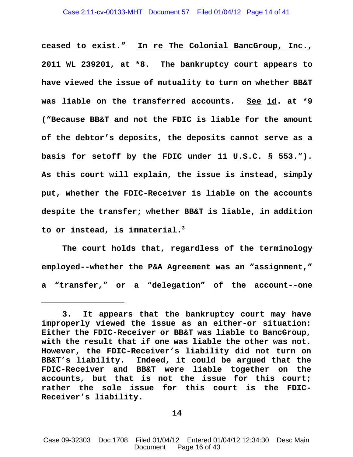**ceased to exist." In re The Colonial BancGroup, Inc., 2011 WL 239201, at \*8. The bankruptcy court appears to have viewed the issue of mutuality to turn on whether BB&T was liable on the transferred accounts. See id. at \*9 ("Because BB&T and not the FDIC is liable for the amount of the debtor's deposits, the deposits cannot serve as a basis for setoff by the FDIC under 11 U.S.C. § 553."). As this court will explain, the issue is instead, simply put, whether the FDIC-Receiver is liable on the accounts despite the transfer; whether BB&T is liable, in addition to or instead, is immaterial.3**

**The court holds that, regardless of the terminology employed--whether the P&A Agreement was an "assignment," a "transfer," or a "delegation" of the account--one**

**<sup>3.</sup> It appears that the bankruptcy court may have improperly viewed the issue as an either-or situation: Either the FDIC-Receiver or BB&T was liable to BancGroup, with the result that if one was liable the other was not. However, the FDIC-Receiver's liability did not turn on BB&T's liability. Indeed, it could be argued that the FDIC-Receiver and BB&T were liable together on the accounts, but that is not the issue for this court; rather the sole issue for this court is the FDIC-Receiver's liability.**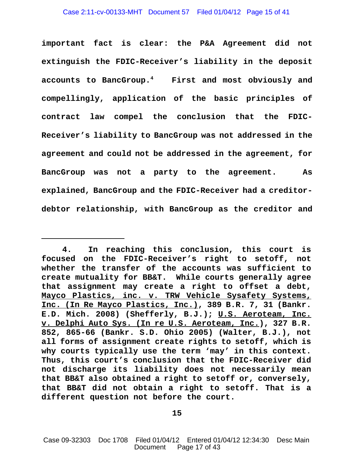**important fact is clear: the P&A Agreement did not extinguish the FDIC-Receiver's liability in the deposit accounts to BancGroup.4 First and most obviously and compellingly, application of the basic principles of contract law compel the conclusion that the FDIC-Receiver's liability to BancGroup was not addressed in the agreement and could not be addressed in the agreement, for BancGroup was not a party to the agreement. As explained, BancGroup and the FDIC-Receiver had a creditordebtor relationship, with BancGroup as the creditor and**

**<sup>4.</sup> In reaching this conclusion, this court is focused on the FDIC-Receiver's right to setoff, not whether the transfer of the accounts was sufficient to create mutuality for BB&T. While courts generally agree that assignment may create a right to offset a debt, Mayco Plastics, inc. v. TRW Vehicle Sysafety Systems, Inc. (In Re Mayco Plastics, Inc.), 389 B.R. 7, 31 (Bankr. E.D. Mich. 2008) (Shefferly, B.J.); U.S. Aeroteam, Inc. v. Delphi Auto Sys. (In re U.S. Aeroteam, Inc.), 327 B.R. 852, 865-66 (Bankr. S.D. Ohio 2005) (Walter, B.J.), not all forms of assignment create rights to setoff, which is why courts typically use the term 'may' in this context. Thus, this court's conclusion that the FDIC-Receiver did not discharge its liability does not necessarily mean that BB&T also obtained a right to setoff or, conversely, that BB&T did not obtain a right to setoff. That is a different question not before the court.**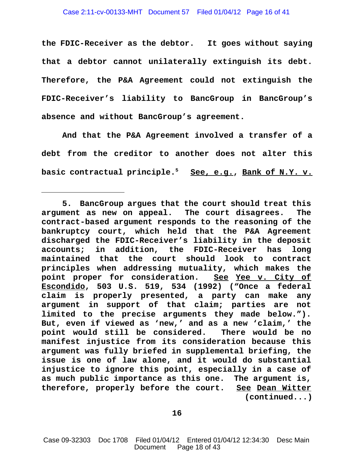**the FDIC-Receiver as the debtor. It goes without saying that a debtor cannot unilaterally extinguish its debt. Therefore, the P&A Agreement could not extinguish the FDIC-Receiver's liability to BancGroup in BancGroup's absence and without BancGroup's agreement.**

**And that the P&A Agreement involved a transfer of a debt from the creditor to another does not alter this basic contractual principle.5 See, e.g., Bank of N.Y. v.**

**<sup>5.</sup> BancGroup argues that the court should treat this argument as new on appeal. The court disagrees. The contract-based argument responds to the reasoning of the bankruptcy court, which held that the P&A Agreement discharged the FDIC-Receiver's liability in the deposit accounts; in addition, the FDIC-Receiver has long maintained that the court should look to contract principles when addressing mutuality, which makes the point proper for consideration. See Yee v. City of Escondido, 503 U.S. 519, 534 (1992) ("Once a federal claim is properly presented, a party can make any argument in support of that claim; parties are not limited to the precise arguments they made below."). But, even if viewed as 'new,' and as a new 'claim,' the point would still be considered. There would be no manifest injustice from its consideration because this argument was fully briefed in supplemental briefing, the issue is one of law alone, and it would do substantial injustice to ignore this point, especially in a case of as much public importance as this one. The argument is, therefore, properly before the court. See Dean Witter (continued...)**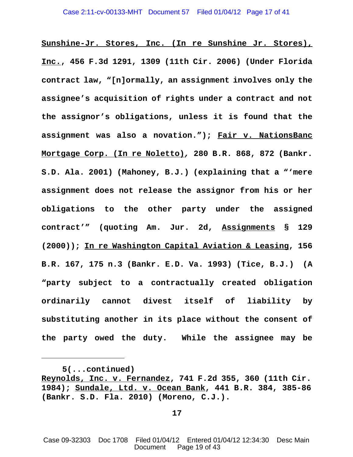**Sunshine-Jr. Stores, Inc. (In re Sunshine Jr. Stores), Inc., 456 F.3d 1291, 1309 (11th Cir. 2006) (Under Florida contract law, "[n]ormally, an assignment involves only the assignee's acquisition of rights under a contract and not the assignor's obligations, unless it is found that the assignment was also a novation."); Fair v. NationsBanc Mortgage Corp. (In re Noletto)***,* **280 B.R. 868, 872 (Bankr. S.D. Ala. 2001) (Mahoney, B.J.) (explaining that a "'mere assignment does not release the assignor from his or her obligations to the other party under the assigned contract'" (quoting Am. Jur. 2d, Assignments § 129 (2000)); In re Washington Capital Aviation & Leasing, 156 B.R. 167, 175 n.3 (Bankr. E.D. Va. 1993) (Tice, B.J.) (A "party subject to a contractually created obligation ordinarily cannot divest itself of liability by substituting another in its place without the consent of the party owed the duty. While the assignee may be**

**<sup>5(...</sup>continued) Reynolds, Inc. v. Fernandez, 741 F.2d 355, 360 (11th Cir. 1984); Sundale, Ltd. v. Ocean Bank, 441 B.R. 384, 385-86 (Bankr. S.D. Fla. 2010) (Moreno, C.J.).** 

Case 09-32303 Doc 1708 Filed 01/04/12 Entered 01/04/12 12:34:30 Desc Main Document Page 19 of 43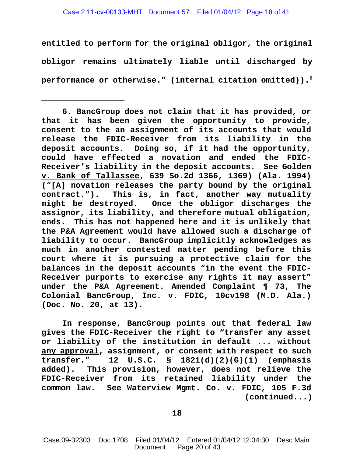## Case 2:11-cv-00133-MHT Document 57 Filed 01/04/12 Page 18 of 41

**entitled to perform for the original obligor, the original obligor remains ultimately liable until discharged by performance or otherwise." (internal citation omitted)).6**

**In response, BancGroup points out that federal law gives the FDIC-Receiver the right to "transfer any asset or liability of the institution in default ... without any approval, assignment, or consent with respect to such transfer." 12 U.S.C. § 1821(d)(2)(G)(i) (emphasis added). This provision, however, does not relieve the FDIC-Receiver from its retained liability under the common law. See Waterview Mgmt. Co. v. FDIC, 105 F.3d (continued...)**

**18**

**<sup>6.</sup> BancGroup does not claim that it has provided, or that it has been given the opportunity to provide, consent to the an assignment of its accounts that would release the FDIC-Receiver from its liability in the deposit accounts. Doing so, if it had the opportunity, could have effected a novation and ended the FDIC-Receiver's liability in the deposit accounts. See Golden v. Bank of Tallassee, 639 So.2d 1366, 1369) (Ala. 1994) ("[A] novation releases the party bound by the original contract."). This is, in fact, another way mutuality might be destroyed. Once the obligor discharges the assignor, its liability, and therefore mutual obligation, ends. This has not happened here and it is unlikely that the P&A Agreement would have allowed such a discharge of liability to occur. BancGroup implicitly acknowledges as much in another contested matter pending before this court where it is pursuing a protective claim for the balances in the deposit accounts "in the event the FDIC-Receiver purports to exercise any rights it may assert" under the P&A Agreement. Amended Complaint ¶ 73, The Colonial BancGroup, Inc. v. FDIC, 10cv198 (M.D. Ala.) (Doc. No. 20, at 13).**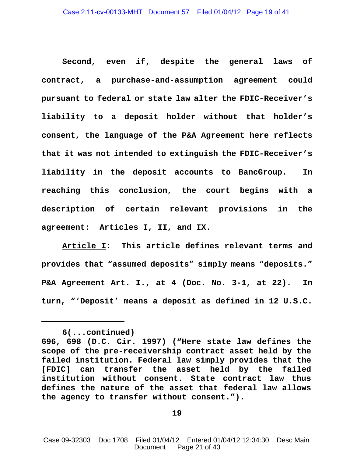**Second, even if, despite the general laws of contract, a purchase-and-assumption agreement could pursuant to federal or state law alter the FDIC-Receiver's liability to a deposit holder without that holder's consent, the language of the P&A Agreement here reflects that it was not intended to extinguish the FDIC-Receiver's liability in the deposit accounts to BancGroup. In reaching this conclusion, the court begins with a description of certain relevant provisions in the agreement: Articles I, II, and IX.**

**Article I: This article defines relevant terms and provides that "assumed deposits" simply means "deposits." P&A Agreement Art. I., at 4 (Doc. No. 3-1, at 22). In turn, "'Deposit' means a deposit as defined in 12 U.S.C.**

**<sup>6(...</sup>continued)**

**<sup>696, 698 (</sup>D.C. Cir. 1997) ("Here state law defines the scope of the pre-receivership contract asset held by the failed institution. Federal law simply provides that the [FDIC] can transfer the asset held by the failed institution without consent. State contract law thus defines the nature of the asset that federal law allows the agency to transfer without consent.").**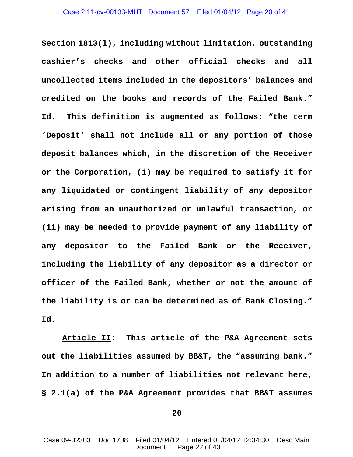**Section 1813(l), including without limitation, outstanding cashier's checks and other official checks and all uncollected items included in the depositors' balances and credited on the books and records of the Failed Bank." Id. This definition is augmented as follows: "the term 'Deposit' shall not include all or any portion of those deposit balances which, in the discretion of the Receiver or the Corporation, (i) may be required to satisfy it for any liquidated or contingent liability of any depositor arising from an unauthorized or unlawful transaction, or (ii) may be needed to provide payment of any liability of any depositor to the Failed Bank or the Receiver, including the liability of any depositor as a director or officer of the Failed Bank, whether or not the amount of the liability is or can be determined as of Bank Closing." Id.**

**Article II: This article of the P&A Agreement sets out the liabilities assumed by BB&T, the "assuming bank." In addition to a number of liabilities not relevant here, § 2.1(a) of the P&A Agreement provides that BB&T assumes**

**20**

Case 09-32303 Doc 1708 Filed 01/04/12 Entered 01/04/12 12:34:30 Desc Main Document Page 22 of 43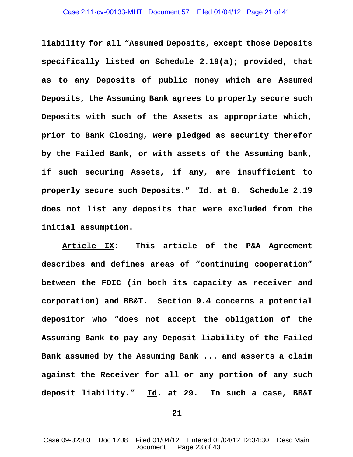**liability for all "Assumed Deposits, except those Deposits specifically listed on Schedule 2.19(a); provided, that as to any Deposits of public money which are Assumed Deposits, the Assuming Bank agrees to properly secure such Deposits with such of the Assets as appropriate which, prior to Bank Closing, were pledged as security therefor by the Failed Bank, or with assets of the Assuming bank, if such securing Assets, if any, are insufficient to properly secure such Deposits." Id. at 8. Schedule 2.19 does not list any deposits that were excluded from the initial assumption.**

**Article IX: This article of the P&A Agreement describes and defines areas of "continuing cooperation" between the FDIC (in both its capacity as receiver and corporation) and BB&T. Section 9.4 concerns a potential depositor who "does not accept the obligation of the Assuming Bank to pay any Deposit liability of the Failed Bank assumed by the Assuming Bank ... and asserts a claim against the Receiver for all or any portion of any such deposit liability." Id. at 29. In such a case, BB&T**

**21**

Case 09-32303 Doc 1708 Filed 01/04/12 Entered 01/04/12 12:34:30 Desc Main Document Page 23 of 43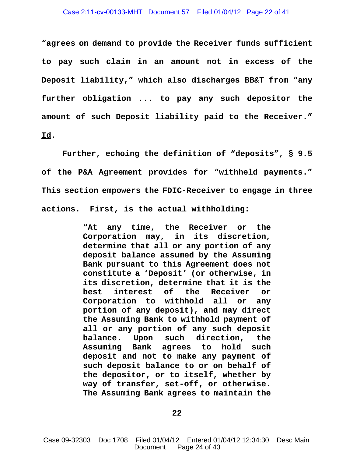**"agrees on demand to provide the Receiver funds sufficient to pay such claim in an amount not in excess of the Deposit liability," which also discharges BB&T from "any further obligation ... to pay any such depositor the amount of such Deposit liability paid to the Receiver." Id.**

**Further, echoing the definition of "deposits", § 9.5 of the P&A Agreement provides for "withheld payments." This section empowers the FDIC-Receiver to engage in three actions. First, is the actual withholding:** 

> **"At any time, the Receiver or the Corporation may, in its discretion, determine that all or any portion of any deposit balance assumed by the Assuming Bank pursuant to this Agreement does not constitute a 'Deposit' (or otherwise, in its discretion, determine that it is the best interest of the Receiver or Corporation to withhold all or any portion of any deposit), and may direct the Assuming Bank to withhold payment of all or any portion of any such deposit balance. Upon such direction, the Assuming Bank agrees to hold such deposit and not to make any payment of such deposit balance to or on behalf of the depositor, or to itself, whether by way of transfer, set-off, or otherwise. The Assuming Bank agrees to maintain the**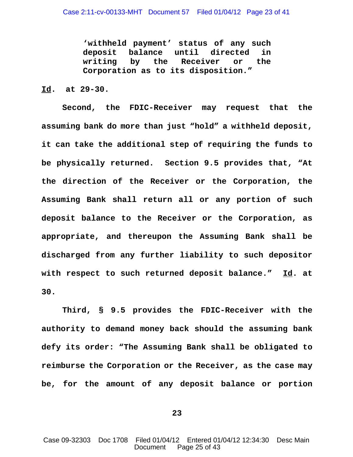**'withheld payment' status of any such deposit balance until directed in writing by the Receiver or the Corporation as to its disposition."**

# **Id. at 29-30.**

**Second, the FDIC-Receiver may request that the assuming bank do more than just "hold" a withheld deposit, it can take the additional step of requiring the funds to be physically returned. Section 9.5 provides that, "At the direction of the Receiver or the Corporation, the Assuming Bank shall return all or any portion of such deposit balance to the Receiver or the Corporation, as appropriate, and thereupon the Assuming Bank shall be discharged from any further liability to such depositor with respect to such returned deposit balance." Id. at 30.**

**Third, § 9.5 provides the FDIC-Receiver with the authority to demand money back should the assuming bank defy its order: "The Assuming Bank shall be obligated to reimburse the Corporation or the Receiver, as the case may be, for the amount of any deposit balance or portion**

**23**

Case 09-32303 Doc 1708 Filed 01/04/12 Entered 01/04/12 12:34:30 Desc Main Document Page 25 of 43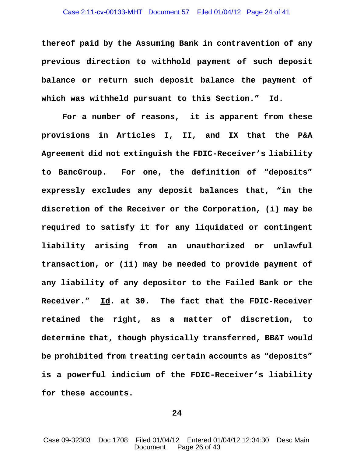### Case 2:11-cv-00133-MHT Document 57 Filed 01/04/12 Page 24 of 41

**thereof paid by the Assuming Bank in contravention of any previous direction to withhold payment of such deposit balance or return such deposit balance the payment of which was withheld pursuant to this Section." Id.**

**For a number of reasons, it is apparent from these provisions in Articles I, II, and IX that the P&A Agreement did not extinguish the FDIC-Receiver's liability to BancGroup. For one, the definition of "deposits" expressly excludes any deposit balances that, "in the discretion of the Receiver or the Corporation, (i) may be required to satisfy it for any liquidated or contingent liability arising from an unauthorized or unlawful transaction, or (ii) may be needed to provide payment of any liability of any depositor to the Failed Bank or the Receiver." Id. at 30. The fact that the FDIC-Receiver retained the right, as a matter of discretion, to determine that, though physically transferred, BB&T would be prohibited from treating certain accounts as "deposits" is a powerful indicium of the FDIC-Receiver's liability for these accounts.**

**24**

Case 09-32303 Doc 1708 Filed 01/04/12 Entered 01/04/12 12:34:30 Desc Main Document Page 26 of 43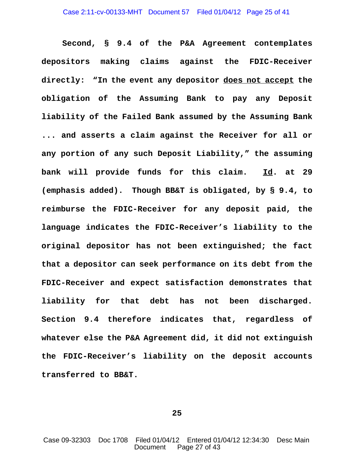**Second, § 9.4 of the P&A Agreement contemplates depositors making claims against the FDIC-Receiver directly: "In the event any depositor does not accept the obligation of the Assuming Bank to pay any Deposit liability of the Failed Bank assumed by the Assuming Bank ... and asserts a claim against the Receiver for all or any portion of any such Deposit Liability," the assuming bank will provide funds for this claim. Id. at 29 (emphasis added). Though BB&T is obligated, by § 9.4, to reimburse the FDIC-Receiver for any deposit paid, the language indicates the FDIC-Receiver's liability to the original depositor has not been extinguished; the fact that a depositor can seek performance on its debt from the FDIC-Receiver and expect satisfaction demonstrates that liability for that debt has not been discharged. Section 9.4 therefore indicates that, regardless of whatever else the P&A Agreement did, it did not extinguish the FDIC-Receiver's liability on the deposit accounts transferred to BB&T.**

**25**

Case 09-32303 Doc 1708 Filed 01/04/12 Entered 01/04/12 12:34:30 Desc Main Document Page 27 of 43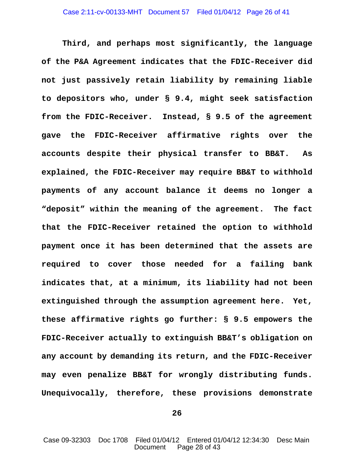**Third, and perhaps most significantly, the language of the P&A Agreement indicates that the FDIC-Receiver did not just passively retain liability by remaining liable to depositors who, under § 9.4, might seek satisfaction from the FDIC-Receiver. Instead, § 9.5 of the agreement gave the FDIC-Receiver affirmative rights over the accounts despite their physical transfer to BB&T. As explained, the FDIC-Receiver may require BB&T to withhold payments of any account balance it deems no longer a "deposit" within the meaning of the agreement. The fact that the FDIC-Receiver retained the option to withhold payment once it has been determined that the assets are required to cover those needed for a failing bank indicates that, at a minimum, its liability had not been extinguished through the assumption agreement here. Yet, these affirmative rights go further: § 9.5 empowers the FDIC-Receiver actually to extinguish BB&T's obligation on any account by demanding its return, and the FDIC-Receiver may even penalize BB&T for wrongly distributing funds. Unequivocally, therefore, these provisions demonstrate**

**26**

Case 09-32303 Doc 1708 Filed 01/04/12 Entered 01/04/12 12:34:30 Desc Main Document Page 28 of 43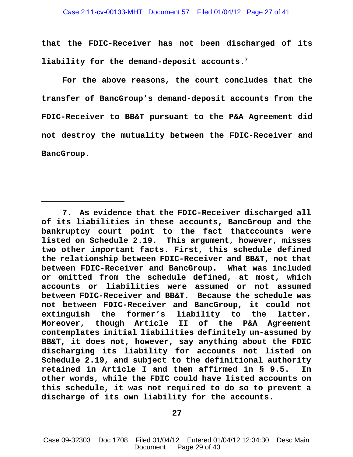**that the FDIC-Receiver has not been discharged of its liability for the demand-deposit accounts.7**

**For the above reasons, the court concludes that the transfer of BancGroup's demand-deposit accounts from the FDIC-Receiver to BB&T pursuant to the P&A Agreement did not destroy the mutuality between the FDIC-Receiver and BancGroup.**

**<sup>7.</sup> As evidence that the FDIC-Receiver discharged all of its liabilities in these accounts, BancGroup and the bankruptcy court point to the fact thatccounts were listed on Schedule 2.19. This argument, however, misses two other important facts. First, this schedule defined the relationship between FDIC-Receiver and BB&T, not that between FDIC-Receiver and BancGroup. What was included or omitted from the schedule defined, at most, which accounts or liabilities were assumed or not assumed between FDIC-Receiver and BB&T. Because the schedule was not between FDIC-Receiver and BancGroup, it could not extinguish the former's liability to the latter. Moreover, though Article II of the P&A Agreement contemplates initial liabilities definitely un-assumed by BB&T, it does not, however, say anything about the FDIC discharging its liability for accounts not listed on Schedule 2.19, and subject to the definitional authority retained in Article I and then affirmed in § 9.5. In other words, while the FDIC could have listed accounts on this schedule, it was not required to do so to prevent a discharge of its own liability for the accounts.**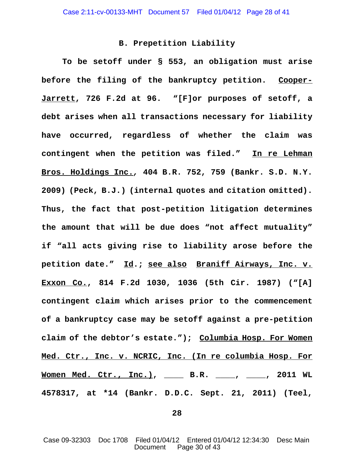# **B. Prepetition Liability**

**To be setoff under § 553, an obligation must arise before the filing of the bankruptcy petition. Cooper-Jarrett, 726 F.2d at 96. "[F]or purposes of setoff, a debt arises when all transactions necessary for liability have occurred, regardless of whether the claim was contingent when the petition was filed." In re Lehman Bros. Holdings Inc.***,* **404 B.R. 752, 759 (Bankr. S.D. N.Y. 2009) (Peck, B.J.) (internal quotes and citation omitted). Thus, the fact that post-petition litigation determines the amount that will be due does "not affect mutuality" if "all acts giving rise to liability arose before the petition date." Id.; see also Braniff Airways, Inc. v. Exxon Co., 814 F.2d 1030, 1036 (5th Cir. 1987) ("[A] contingent claim which arises prior to the commencement of a bankruptcy case may be setoff against a pre-petition claim of the debtor's estate."); Columbia Hosp. For Women Med. Ctr., Inc. v. NCRIC, Inc. (In re columbia Hosp. For Women Med. Ctr., Inc.), \_\_\_\_ B.R. \_\_\_\_, \_\_\_\_, 2011 WL 4578317, at \*14 (Bankr. D.D.C. Sept. 21, 2011) (Teel,**

**28**

Case 09-32303 Doc 1708 Filed 01/04/12 Entered 01/04/12 12:34:30 Desc Main Document Page 30 of 43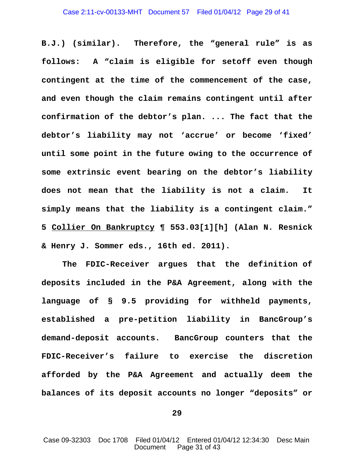**B.J.) (similar). Therefore, the "general rule" is as follows: A "claim is eligible for setoff even though contingent at the time of the commencement of the case, and even though the claim remains contingent until after confirmation of the debtor's plan. ... The fact that the debtor's liability may not 'accrue' or become 'fixed' until some point in the future owing to the occurrence of some extrinsic event bearing on the debtor's liability does not mean that the liability is not a claim. It simply means that the liability is a contingent claim." 5 Collier On Bankruptcy ¶ 553.03[1][h] (Alan N. Resnick & Henry J. Sommer eds., 16th ed. 2011).**

 **The FDIC-Receiver argues that the definition of deposits included in the P&A Agreement, along with the language of § 9.5 providing for withheld payments, established a pre-petition liability in BancGroup's demand-deposit accounts. BancGroup counters that the FDIC-Receiver's failure to exercise the discretion afforded by the P&A Agreement and actually deem the balances of its deposit accounts no longer "deposits" or**

**29**

Case 09-32303 Doc 1708 Filed 01/04/12 Entered 01/04/12 12:34:30 Desc Main Document Page 31 of 43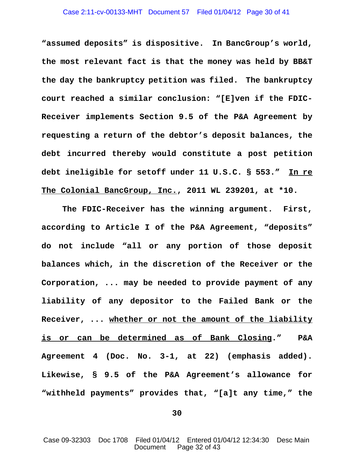### Case 2:11-cv-00133-MHT Document 57 Filed 01/04/12 Page 30 of 41

**"assumed deposits" is dispositive. In BancGroup's world, the most relevant fact is that the money was held by BB&T the day the bankruptcy petition was filed. The bankruptcy court reached a similar conclusion: "[E]ven if the FDIC-Receiver implements Section 9.5 of the P&A Agreement by requesting a return of the debtor's deposit balances, the debt incurred thereby would constitute a post petition debt ineligible for setoff under 11 U.S.C. § 553." In re The Colonial BancGroup, Inc., 2011 WL 239201, at \*10.**

**The FDIC-Receiver has the winning argument. First, according to Article I of the P&A Agreement, "deposits" do not include "all or any portion of those deposit balances which, in the discretion of the Receiver or the Corporation, ... may be needed to provide payment of any liability of any depositor to the Failed Bank or the Receiver, ... whether or not the amount of the liability is or can be determined as of Bank Closing." P&A Agreement 4 (Doc. No. 3-1, at 22) (emphasis added). Likewise, § 9.5 of the P&A Agreement's allowance for "withheld payments" provides that, "[a]t any time," the**

**30**

Case 09-32303 Doc 1708 Filed 01/04/12 Entered 01/04/12 12:34:30 Desc Main Document Page 32 of 43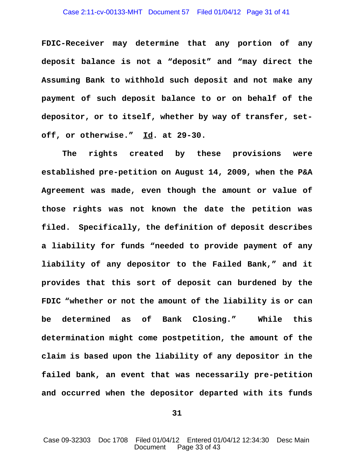### Case 2:11-cv-00133-MHT Document 57 Filed 01/04/12 Page 31 of 41

**FDIC-Receiver may determine that any portion of any deposit balance is not a "deposit" and "may direct the Assuming Bank to withhold such deposit and not make any payment of such deposit balance to or on behalf of the depositor, or to itself, whether by way of transfer, setoff, or otherwise." Id. at 29-30.** 

**The rights created by these provisions were established pre-petition on August 14, 2009, when the P&A Agreement was made, even though the amount or value of those rights was not known the date the petition was filed. Specifically, the definition of deposit describes a liability for funds "needed to provide payment of any liability of any depositor to the Failed Bank," and it provides that this sort of deposit can burdened by the FDIC "whether or not the amount of the liability is or can be determined as of Bank Closing." While this determination might come postpetition, the amount of the claim is based upon the liability of any depositor in the failed bank, an event that was necessarily pre-petition and occurred when the depositor departed with its funds**

**31**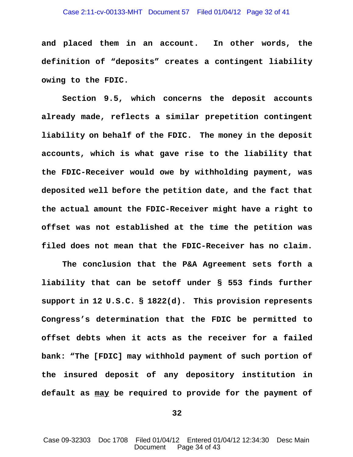**and placed them in an account. In other words, the definition of "deposits" creates a contingent liability owing to the FDIC.** 

**Section 9.5, which concerns the deposit accounts already made, reflects a similar prepetition contingent liability on behalf of the FDIC. The money in the deposit accounts, which is what gave rise to the liability that the FDIC-Receiver would owe by withholding payment, was deposited well before the petition date, and the fact that the actual amount the FDIC-Receiver might have a right to offset was not established at the time the petition was filed does not mean that the FDIC-Receiver has no claim.**

**The conclusion that the P&A Agreement sets forth a liability that can be setoff under § 553 finds further support in 12 U.S.C. § 1822(d). This provision represents Congress's determination that the FDIC be permitted to offset debts when it acts as the receiver for a failed bank: "The [FDIC] may withhold payment of such portion of the insured deposit of any depository institution in default as may be required to provide for the payment of**

**32**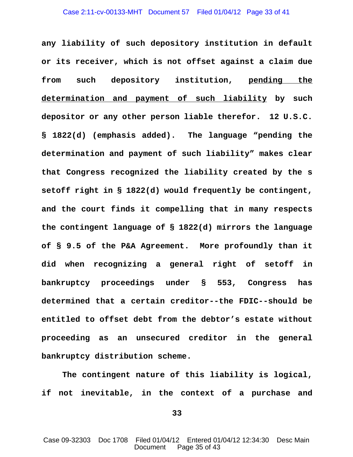**any liability of such depository institution in default or its receiver, which is not offset against a claim due from such depository institution, pending the determination and payment of such liability by such depositor or any other person liable therefor. 12 U.S.C. § 1822(d) (emphasis added). The language "pending the determination and payment of such liability" makes clear that Congress recognized the liability created by the s setoff right in § 1822(d) would frequently be contingent, and the court finds it compelling that in many respects the contingent language of § 1822(d) mirrors the language of § 9.5 of the P&A Agreement. More profoundly than it did when recognizing a general right of setoff in bankruptcy proceedings under § 553, Congress has determined that a certain creditor--the FDIC--should be entitled to offset debt from the debtor's estate without proceeding as an unsecured creditor in the general bankruptcy distribution scheme.** 

**The contingent nature of this liability is logical, if not inevitable, in the context of a purchase and**

**33**

Case 09-32303 Doc 1708 Filed 01/04/12 Entered 01/04/12 12:34:30 Desc Main Document Page 35 of 43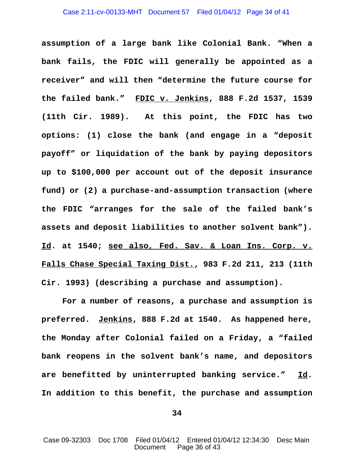**assumption of a large bank like Colonial Bank. "When a bank fails, the FDIC will generally be appointed as a receiver" and will then "determine the future course for the failed bank." FDIC v. Jenkins, 888 F.2d 1537, 1539 (11th Cir. 1989). At this point, the FDIC has two options: (1) close the bank (and engage in a "deposit payoff" or liquidation of the bank by paying depositors up to \$100,000 per account out of the deposit insurance fund) or (2) a purchase-and-assumption transaction (where the FDIC "arranges for the sale of the failed bank's assets and deposit liabilities to another solvent bank"). Id. at 1540; see also, Fed. Sav. & Loan Ins. Corp. v. Falls Chase Special Taxing Dist., 983 F.2d 211, 213 (11th Cir. 1993) (describing a purchase and assumption).** 

**For a number of reasons, a purchase and assumption is preferred. Jenkins, 888 F.2d at 1540. As happened here, the Monday after Colonial failed on a Friday, a "failed bank reopens in the solvent bank's name, and depositors are benefitted by uninterrupted banking service." Id. In addition to this benefit, the purchase and assumption**

**34**

Case 09-32303 Doc 1708 Filed 01/04/12 Entered 01/04/12 12:34:30 Desc Main Document Page 36 of 43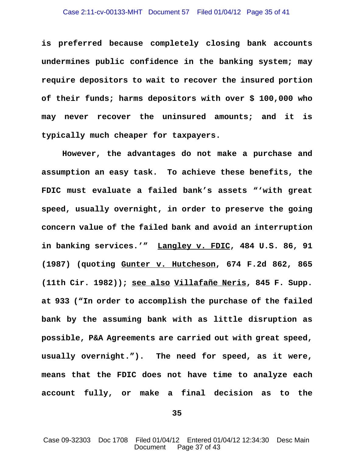**is preferred because completely closing bank accounts undermines public confidence in the banking system; may require depositors to wait to recover the insured portion of their funds; harms depositors with over \$ 100,000 who may never recover the uninsured amounts; and it is typically much cheaper for taxpayers.**

**However, the advantages do not make a purchase and assumption an easy task. To achieve these benefits, the FDIC must evaluate a failed bank's assets "'with great speed, usually overnight, in order to preserve the going concern value of the failed bank and avoid an interruption in banking services.'" Langley v. FDIC, 484 U.S. 86, 91 (1987) (quoting Gunter v. Hutcheson, 674 F.2d 862, 865 (11th Cir. 1982)); see also Villafañe Neris, 845 F. Supp. at 933 ("In order to accomplish the purchase of the failed bank by the assuming bank with as little disruption as possible, P&A Agreements are carried out with great speed, usually overnight."). The need for speed, as it were, means that the FDIC does not have time to analyze each account fully, or make a final decision as to the**

**35**

Case 09-32303 Doc 1708 Filed 01/04/12 Entered 01/04/12 12:34:30 Desc Main Document Page 37 of 43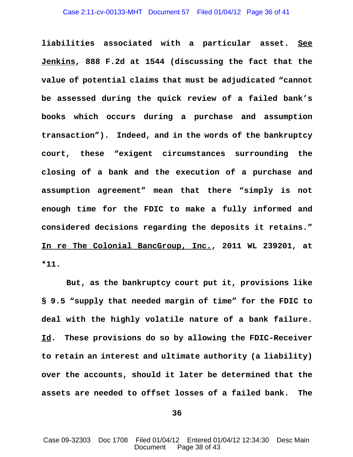### Case 2:11-cv-00133-MHT Document 57 Filed 01/04/12 Page 36 of 41

**liabilities associated with a particular asset. See Jenkins, 888 F.2d at 1544 (discussing the fact that the value of potential claims that must be adjudicated "cannot be assessed during the quick review of a failed bank's books which occurs during a purchase and assumption transaction"). Indeed, and in the words of the bankruptcy court, these "exigent circumstances surrounding the closing of a bank and the execution of a purchase and assumption agreement" mean that there "simply is not enough time for the FDIC to make a fully informed and considered decisions regarding the deposits it retains." In re The Colonial BancGroup, Inc., 2011 WL 239201, at \*11.** 

 **But, as the bankruptcy court put it, provisions like § 9.5 "supply that needed margin of time" for the FDIC to deal with the highly volatile nature of a bank failure. Id. These provisions do so by allowing the FDIC-Receiver to retain an interest and ultimate authority (a liability) over the accounts, should it later be determined that the assets are needed to offset losses of a failed bank. The**

**36**

Case 09-32303 Doc 1708 Filed 01/04/12 Entered 01/04/12 12:34:30 Desc Main Document Page 38 of 43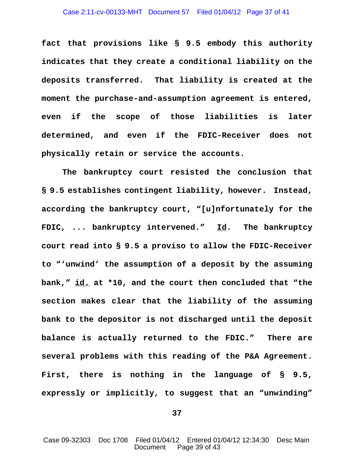**fact that provisions like § 9.5 embody this authority indicates that they create a conditional liability on the deposits transferred. That liability is created at the moment the purchase-and-assumption agreement is entered, even if the scope of those liabilities is later determined, and even if the FDIC-Receiver does not physically retain or service the accounts.** 

**The bankruptcy court resisted the conclusion that § 9.5 establishes contingent liability, however. Instead, according the bankruptcy court, "[u]nfortunately for the FDIC, ... bankruptcy intervened." Id. The bankruptcy court read into § 9.5 a proviso to allow the FDIC-Receiver to "'unwind' the assumption of a deposit by the assuming bank," id. at \*10, and the court then concluded that "the section makes clear that the liability of the assuming bank to the depositor is not discharged until the deposit balance is actually returned to the FDIC." There are several problems with this reading of the P&A Agreement. First, there is nothing in the language of § 9.5, expressly or implicitly, to suggest that an "unwinding"**

**37**

Case 09-32303 Doc 1708 Filed 01/04/12 Entered 01/04/12 12:34:30 Desc Main Document Page 39 of 43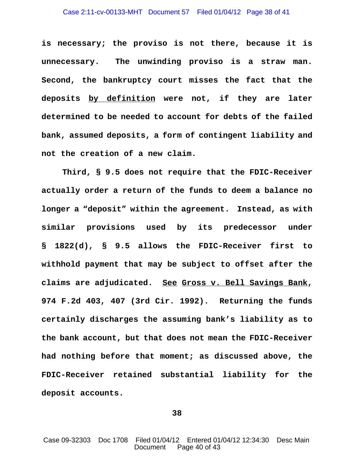### Case 2:11-cv-00133-MHT Document 57 Filed 01/04/12 Page 38 of 41

**is necessary; the proviso is not there, because it is unnecessary. The unwinding proviso is a straw man. Second, the bankruptcy court misses the fact that the deposits by definition were not, if they are later determined to be needed to account for debts of the failed bank, assumed deposits, a form of contingent liability and not the creation of a new claim.** 

**Third, § 9.5 does not require that the FDIC-Receiver actually order a return of the funds to deem a balance no longer a "deposit" within the agreement. Instead, as with similar provisions used by its predecessor under § 1822(d), § 9.5 allows the FDIC-Receiver first to withhold payment that may be subject to offset after the claims are adjudicated. See Gross v. Bell Savings Bank, 974 F.2d 403, 407 (3rd Cir. 1992). Returning the funds certainly discharges the assuming bank's liability as to the bank account, but that does not mean the FDIC-Receiver had nothing before that moment; as discussed above, the FDIC-Receiver retained substantial liability for the deposit accounts.** 

**38**

Case 09-32303 Doc 1708 Filed 01/04/12 Entered 01/04/12 12:34:30 Desc Main Document Page 40 of 43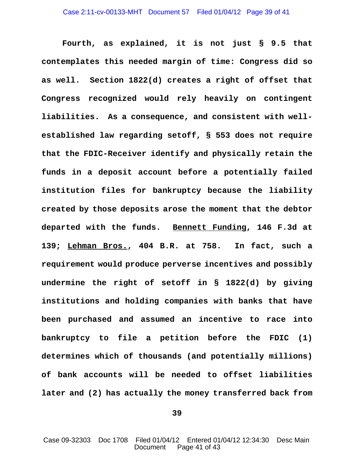**Fourth, as explained, it is not just § 9.5 that contemplates this needed margin of time: Congress did so as well. Section 1822(d) creates a right of offset that Congress recognized would rely heavily on contingent liabilities. As a consequence, and consistent with wellestablished law regarding setoff, § 553 does not require that the FDIC-Receiver identify and physically retain the funds in a deposit account before a potentially failed institution files for bankruptcy because the liability created by those deposits arose the moment that the debtor departed with the funds. Bennett Funding, 146 F.3d at 139; Lehman Bros., 404 B.R. at 758. In fact, such a requirement would produce perverse incentives and possibly undermine the right of setoff in § 1822(d) by giving institutions and holding companies with banks that have been purchased and assumed an incentive to race into bankruptcy to file a petition before the FDIC (1) determines which of thousands (and potentially millions) of bank accounts will be needed to offset liabilities later and (2) has actually the money transferred back from**

**39**

Case 09-32303 Doc 1708 Filed 01/04/12 Entered 01/04/12 12:34:30 Desc Main Document Page 41 of 43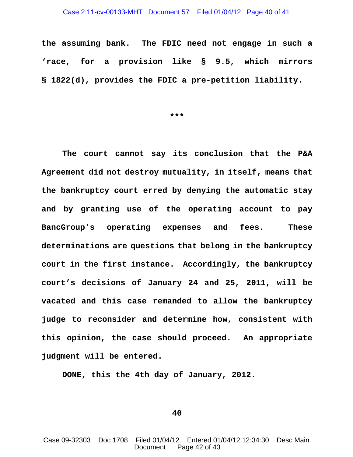### Case 2:11-cv-00133-MHT Document 57 Filed 01/04/12 Page 40 of 41

**the assuming bank. The FDIC need not engage in such a 'race, for a provision like § 9.5, which mirrors § 1822(d), provides the FDIC a pre-petition liability.**

**\*\*\***

**The court cannot say its conclusion that the P&A Agreement did not destroy mutuality, in itself, means that the bankruptcy court erred by denying the automatic stay and by granting use of the operating account to pay BancGroup's operating expenses and fees. These determinations are questions that belong in the bankruptcy court in the first instance. Accordingly, the bankruptcy court's decisions of January 24 and 25, 2011, will be vacated and this case remanded to allow the bankruptcy judge to reconsider and determine how, consistent with this opinion, the case should proceed. An appropriate judgment will be entered.** 

**DONE, this the 4th day of January, 2012.**

**40**

Case 09-32303 Doc 1708 Filed 01/04/12 Entered 01/04/12 12:34:30 Desc Main Document Page 42 of 43